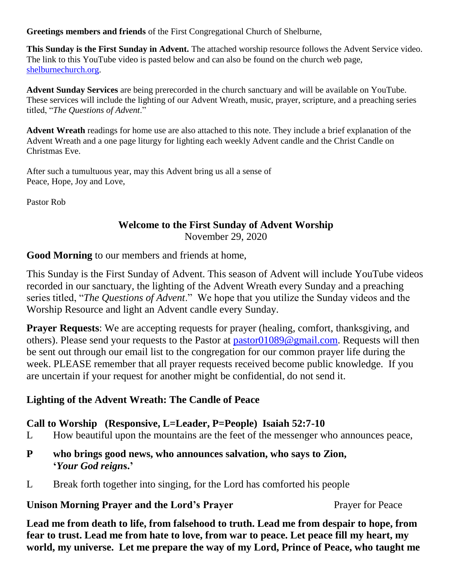**Greetings members and friends** of the First Congregational Church of Shelburne,

**This Sunday is the First Sunday in Advent.** The attached worship resource follows the Advent Service video. The link to this YouTube video is pasted below and can also be found on the church web page, [shelburnechurch.org.](http://shelburnechurch.org/)

**Advent Sunday Services** are being prerecorded in the church sanctuary and will be available on YouTube. These services will include the lighting of our Advent Wreath, music, prayer, scripture, and a preaching series titled, "*The Questions of Advent*."

**Advent Wreath** readings for home use are also attached to this note. They include a brief explanation of the Advent Wreath and a one page liturgy for lighting each weekly Advent candle and the Christ Candle on Christmas Eve.

After such a tumultuous year, may this Advent bring us all a sense of Peace, Hope, Joy and Love,

Pastor Rob

# **Welcome to the First Sunday of Advent Worship**

November 29, 2020

**Good Morning** to our members and friends at home,

This Sunday is the First Sunday of Advent. This season of Advent will include YouTube videos recorded in our sanctuary, the lighting of the Advent Wreath every Sunday and a preaching series titled, "*The Questions of Advent*." We hope that you utilize the Sunday videos and the Worship Resource and light an Advent candle every Sunday.

**Prayer Requests:** We are accepting requests for prayer (healing, comfort, thanksgiving, and others). Please send your requests to the Pastor at [pastor01089@gmail.com.](mailto:pastor01089@gmail.com) Requests will then be sent out through our email list to the congregation for our common prayer life during the week. PLEASE remember that all prayer requests received become public knowledge. If you are uncertain if your request for another might be confidential, do not send it.

# **Lighting of the Advent Wreath: The Candle of Peace**

# **Call to Worship (Responsive, L=Leader, P=People) Isaiah 52:7-10**

L How beautiful upon the mountains are the feet of the messenger who announces peace,

- **P who brings good news, who announces salvation, who says to Zion, '***Your God reign***s.'**
- L Break forth together into singing, for the Lord has comforted his people

### **Unison Morning Prayer and the Lord's Prayer**  Prayer **Prayer for Peace**

**Lead me from death to life, from falsehood to truth. Lead me from despair to hope, from fear to trust. Lead me from hate to love, from war to peace. Let peace fill my heart, my world, my universe. Let me prepare the way of my Lord, Prince of Peace, who taught me**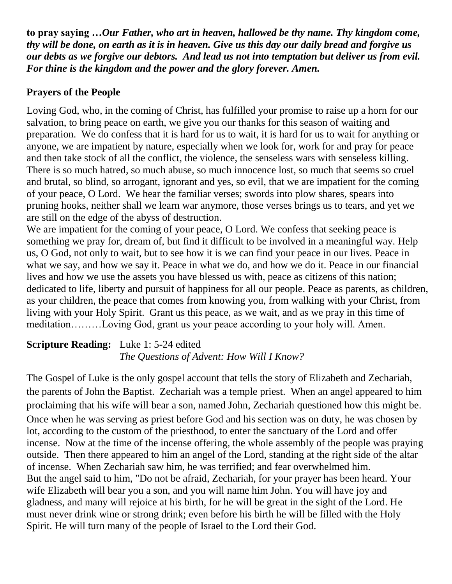**to pray saying …***Our Father, who art in heaven, hallowed be thy name. Thy kingdom come, thy will be done, on earth as it is in heaven. Give us this day our daily bread and forgive us our debts as we forgive our debtors. And lead us not into temptation but deliver us from evil. For thine is the kingdom and the power and the glory forever. Amen.*

# **Prayers of the People**

Loving God, who, in the coming of Christ, has fulfilled your promise to raise up a horn for our salvation, to bring peace on earth, we give you our thanks for this season of waiting and preparation. We do confess that it is hard for us to wait, it is hard for us to wait for anything or anyone, we are impatient by nature, especially when we look for, work for and pray for peace and then take stock of all the conflict, the violence, the senseless wars with senseless killing. There is so much hatred, so much abuse, so much innocence lost, so much that seems so cruel and brutal, so blind, so arrogant, ignorant and yes, so evil, that we are impatient for the coming of your peace, O Lord. We hear the familiar verses; swords into plow shares, spears into pruning hooks, neither shall we learn war anymore, those verses brings us to tears, and yet we are still on the edge of the abyss of destruction.

We are impatient for the coming of your peace, O Lord. We confess that seeking peace is something we pray for, dream of, but find it difficult to be involved in a meaningful way. Help us, O God, not only to wait, but to see how it is we can find your peace in our lives. Peace in what we say, and how we say it. Peace in what we do, and how we do it. Peace in our financial lives and how we use the assets you have blessed us with, peace as citizens of this nation; dedicated to life, liberty and pursuit of happiness for all our people. Peace as parents, as children, as your children, the peace that comes from knowing you, from walking with your Christ, from living with your Holy Spirit. Grant us this peace, as we wait, and as we pray in this time of meditation………Loving God, grant us your peace according to your holy will. Amen.

# **Scripture Reading:** Luke 1: 5-24 edited *The Questions of Advent: How Will I Know?*

The Gospel of Luke is the only gospel account that tells the story of Elizabeth and Zechariah, the parents of John the Baptist. Zechariah was a temple priest. When an angel appeared to him proclaiming that his wife will bear a son, named John, Zechariah questioned how this might be. Once when he was serving as priest before God and his section was on duty, he was chosen by lot, according to the custom of the priesthood, to enter the sanctuary of the Lord and offer incense. Now at the time of the incense offering, the whole assembly of the people was praying outside. Then there appeared to him an angel of the Lord, standing at the right side of the altar of incense. When Zechariah saw him, he was terrified; and fear overwhelmed him. But the angel said to him, "Do not be afraid, Zechariah, for your prayer has been heard. Your wife Elizabeth will bear you a son, and you will name him John. You will have joy and gladness, and many will rejoice at his birth, for he will be great in the sight of the Lord. He must never drink wine or strong drink; even before his birth he will be filled with the Holy Spirit. He will turn many of the people of Israel to the Lord their God.